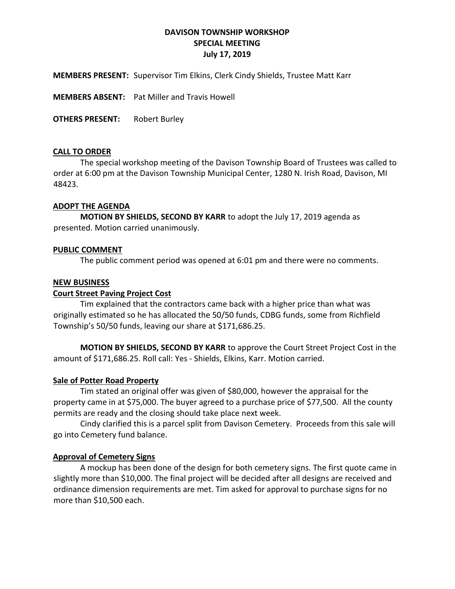# **DAVISON TOWNSHIP WORKSHOP SPECIAL MEETING July 17, 2019**

**MEMBERS PRESENT:** Supervisor Tim Elkins, Clerk Cindy Shields, Trustee Matt Karr

**MEMBERS ABSENT:** Pat Miller and Travis Howell

**OTHERS PRESENT:** Robert Burley

## **CALL TO ORDER**

The special workshop meeting of the Davison Township Board of Trustees was called to order at 6:00 pm at the Davison Township Municipal Center, 1280 N. Irish Road, Davison, MI 48423.

## **ADOPT THE AGENDA**

**MOTION BY SHIELDS, SECOND BY KARR** to adopt the July 17, 2019 agenda as presented. Motion carried unanimously.

## **PUBLIC COMMENT**

The public comment period was opened at 6:01 pm and there were no comments.

## **NEW BUSINESS**

## **Court Street Paving Project Cost**

Tim explained that the contractors came back with a higher price than what was originally estimated so he has allocated the 50/50 funds, CDBG funds, some from Richfield Township's 50/50 funds, leaving our share at \$171,686.25.

**MOTION BY SHIELDS, SECOND BY KARR** to approve the Court Street Project Cost in the amount of \$171,686.25. Roll call: Yes - Shields, Elkins, Karr. Motion carried.

#### **Sale of Potter Road Property**

Tim stated an original offer was given of \$80,000, however the appraisal for the property came in at \$75,000. The buyer agreed to a purchase price of \$77,500. All the county permits are ready and the closing should take place next week.

Cindy clarified this is a parcel split from Davison Cemetery. Proceeds from this sale will go into Cemetery fund balance.

## **Approval of Cemetery Signs**

A mockup has been done of the design for both cemetery signs. The first quote came in slightly more than \$10,000. The final project will be decided after all designs are received and ordinance dimension requirements are met. Tim asked for approval to purchase signs for no more than \$10,500 each.